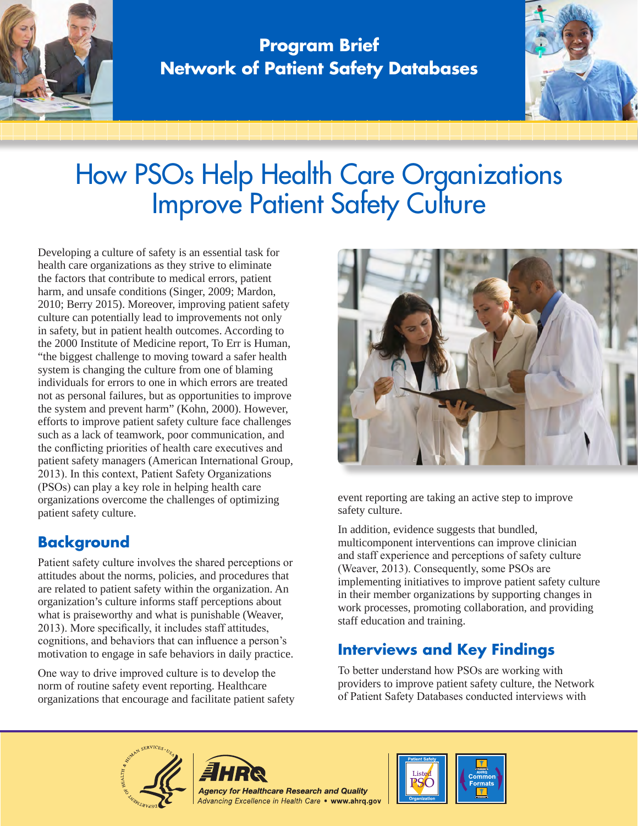

**Program Brief Network of Patient Safety Databases**



# How PSOs Help Health Care Organizations Improve Patient Safety Culture

Developing a culture of safety is an essential task for health care organizations as they strive to eliminate the factors that contribute to medical errors, patient harm, and unsafe conditions (Singer, 2009; Mardon, 2010; Berry 2015). Moreover, improving patient safety culture can potentially lead to improvements not only in safety, but in patient health outcomes. According to the 2000 Institute of Medicine report, To Err is Human, "the biggest challenge to moving toward a safer health system is changing the culture from one of blaming individuals for errors to one in which errors are treated not as personal failures, but as opportunities to improve the system and prevent harm" (Kohn, 2000). However, efforts to improve patient safety culture face challenges such as a lack of teamwork, poor communication, and the conflicting priorities of health care executives and patient safety managers (American International Group, 2013). In this context, Patient Safety Organizations (PSOs) can play a key role in helping health care organizations overcome the challenges of optimizing patient safety culture.

# **Background**

Patient safety culture involves the shared perceptions or attitudes about the norms, policies, and procedures that are related to patient safety within the organization. An organization's culture informs staff perceptions about what is praiseworthy and what is punishable (Weaver, 2013). More specifically, it includes staff attitudes, cognitions, and behaviors that can influence a person's motivation to engage in safe behaviors in daily practice.

One way to drive improved culture is to develop the norm of routine safety event reporting. Healthcare organizations that encourage and facilitate patient safety



event reporting are taking an active step to improve safety culture.

In addition, evidence suggests that bundled, multicomponent interventions can improve clinician and staff experience and perceptions of safety culture (Weaver, 2013). Consequently, some PSOs are implementing initiatives to improve patient safety culture in their member organizations by supporting changes in work processes, promoting collaboration, and providing staff education and training.

# **Interviews and Key Findings**

To better understand how PSOs are working with providers to improve patient safety culture, the Network of Patient Safety Databases conducted interviews with





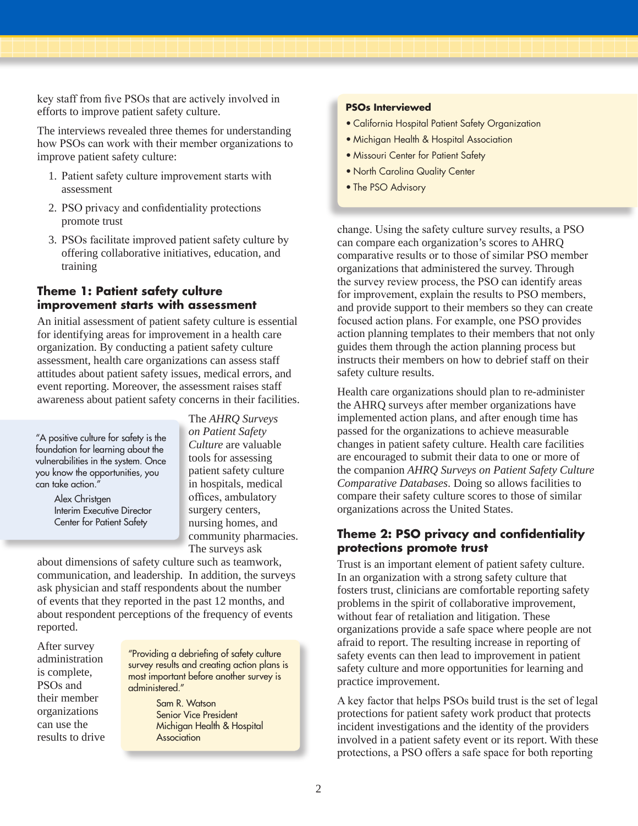key staff from five PSOs that are actively involved in efforts to improve patient safety culture.

The interviews revealed three themes for understanding how PSOs can work with their member organizations to improve patient safety culture:

- 1. Patient safety culture improvement starts with assessment
- 2. PSO privacy and confidentiality protections promote trust
- 3. PSOs facilitate improved patient safety culture by offering collaborative initiatives, education, and training

### **Theme 1: Patient safety culture improvement starts with assessment**

An initial assessment of patient safety culture is essential for identifying areas for improvement in a health care organization. By conducting a patient safety culture assessment, health care organizations can assess staff attitudes about patient safety issues, medical errors, and event reporting. Moreover, the assessment raises staff awareness about patient safety concerns in their facilities.

"A positive culture for safety is the foundation for learning about the vulnerabilities in the system. Once you know the opportunities, you can take action."

> Alex Christgen Interim Executive Director Center for Patient Safety

The *AHRQ Surveys on Patient Safety Culture* are valuable tools for assessing patient safety culture in hospitals, medical offices, ambulatory surgery centers, nursing homes, and community pharmacies. The surveys ask

about dimensions of safety culture such as teamwork, communication, and leadership. In addition, the surveys ask physician and staff respondents about the number of events that they reported in the past 12 months, and about respondent perceptions of the frequency of events reported.

After survey administration is complete, PSOs and their member organizations can use the results to drive

"Providing a debriefing of safety culture survey results and creating action plans is most important before another survey is administered."

> Sam R. Watson Senior Vice President Michigan Health & Hospital **Association**

#### **PSOs Interviewed**

- California Hospital Patient Safety Organization
- Michigan Health & Hospital Association
- Missouri Center for Patient Safety
- North Carolina Quality Center
- The PSO Advisory

change. Using the safety culture survey results, a PSO can compare each organization's scores to AHRQ comparative results or to those of similar PSO member organizations that administered the survey. Through the survey review process, the PSO can identify areas for improvement, explain the results to PSO members, and provide support to their members so they can create focused action plans. For example, one PSO provides action planning templates to their members that not only guides them through the action planning process but instructs their members on how to debrief staff on their safety culture results.

Health care organizations should plan to re-administer the AHRQ surveys after member organizations have implemented action plans, and after enough time has passed for the organizations to achieve measurable changes in patient safety culture. Health care facilities are encouraged to submit their data to one or more of the companion *AHRQ Surveys on Patient Safety Culture Comparative Databases*. Doing so allows facilities to compare their safety culture scores to those of similar organizations across the United States.

### **Theme 2: PSO privacy and confidentiality protections promote trust**

Trust is an important element of patient safety culture. In an organization with a strong safety culture that fosters trust, clinicians are comfortable reporting safety problems in the spirit of collaborative improvement, without fear of retaliation and litigation. These organizations provide a safe space where people are not afraid to report. The resulting increase in reporting of safety events can then lead to improvement in patient safety culture and more opportunities for learning and practice improvement.

A key factor that helps PSOs build trust is the set of legal protections for patient safety work product that protects incident investigations and the identity of the providers involved in a patient safety event or its report. With these protections, a PSO offers a safe space for both reporting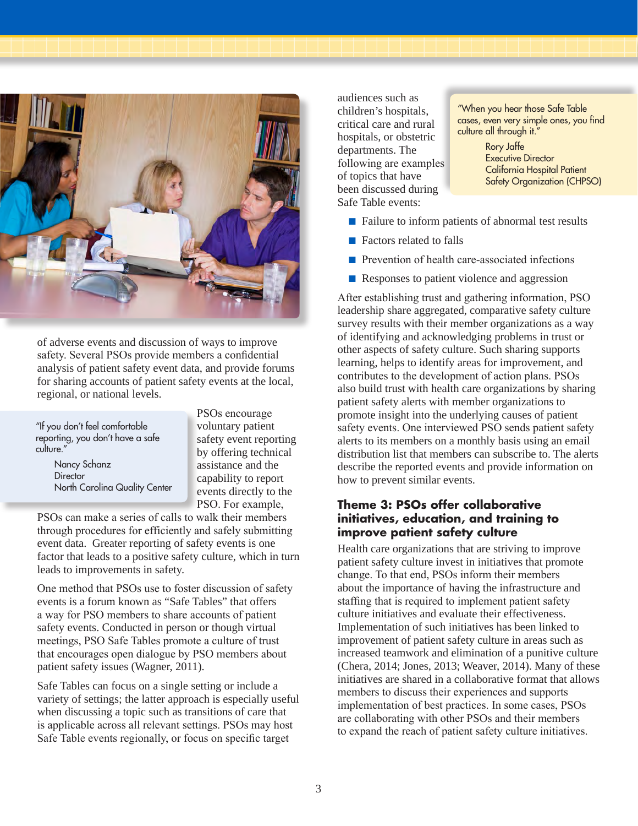

of adverse events and discussion of ways to improve safety. Several PSOs provide members a confidential analysis of patient safety event data, and provide forums for sharing accounts of patient safety events at the local, regional, or national levels.

| "If you don't feel comfortable<br>reporting, you don't have a safe<br>culture." |
|---------------------------------------------------------------------------------|
| Nancy Schanz                                                                    |
| Director                                                                        |
| North Carolina Quality Center                                                   |

PSOs encourage voluntary patient safety event reporting by offering technical assistance and the capability to report events directly to the PSO. For example,

PSOs can make a series of calls to walk their members through procedures for efficiently and safely submitting event data. Greater reporting of safety events is one factor that leads to a positive safety culture, which in turn leads to improvements in safety.

One method that PSOs use to foster discussion of safety events is a forum known as "Safe Tables" that offers a way for PSO members to share accounts of patient safety events. Conducted in person or though virtual meetings, PSO Safe Tables promote a culture of trust that encourages open dialogue by PSO members about patient safety issues (Wagner, 2011).

Safe Tables can focus on a single setting or include a variety of settings; the latter approach is especially useful when discussing a topic such as transitions of care that is applicable across all relevant settings. PSOs may host Safe Table events regionally, or focus on specific target

audiences such as children's hospitals, critical care and rural hospitals, or obstetric departments. The following are examples of topics that have been discussed during Safe Table events:

"When you hear those Safe Table cases, even very simple ones, you find culture all through it."

> Rory Jaffe Executive Director California Hospital Patient Safety Organization (CHPSO)

- Failure to inform patients of abnormal test results
- Factors related to falls
- Prevention of health care-associated infections
- Responses to patient violence and aggression

After establishing trust and gathering information, PSO leadership share aggregated, comparative safety culture survey results with their member organizations as a way of identifying and acknowledging problems in trust or other aspects of safety culture. Such sharing supports learning, helps to identify areas for improvement, and contributes to the development of action plans. PSOs also build trust with health care organizations by sharing patient safety alerts with member organizations to promote insight into the underlying causes of patient safety events. One interviewed PSO sends patient safety alerts to its members on a monthly basis using an email distribution list that members can subscribe to. The alerts describe the reported events and provide information on how to prevent similar events.

### **Theme 3: PSOs offer collaborative initiatives, education, and training to improve patient safety culture**

Health care organizations that are striving to improve patient safety culture invest in initiatives that promote change. To that end, PSOs inform their members about the importance of having the infrastructure and staffing that is required to implement patient safety culture initiatives and evaluate their effectiveness. Implementation of such initiatives has been linked to improvement of patient safety culture in areas such as increased teamwork and elimination of a punitive culture (Chera, 2014; Jones, 2013; Weaver, 2014). Many of these initiatives are shared in a collaborative format that allows members to discuss their experiences and supports implementation of best practices. In some cases, PSOs are collaborating with other PSOs and their members to expand the reach of patient safety culture initiatives.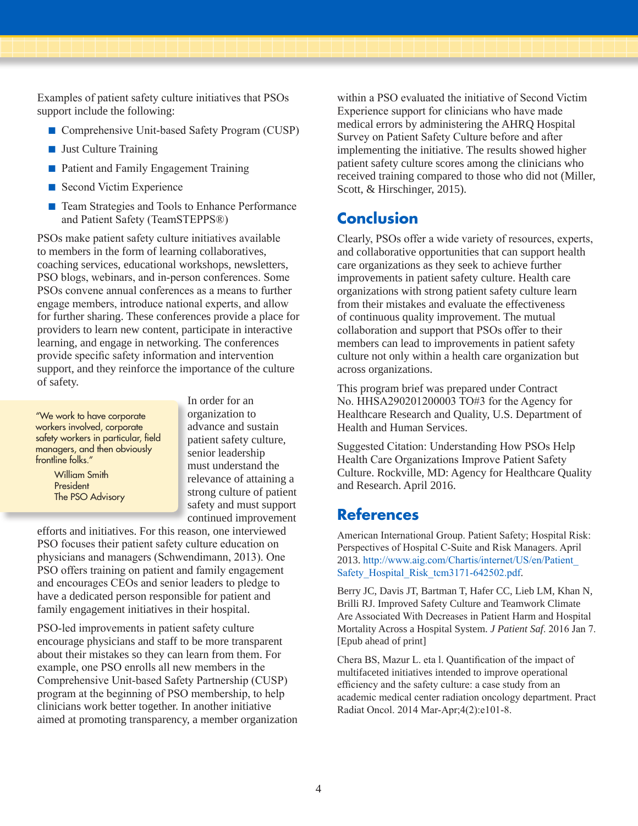Examples of patient safety culture initiatives that PSOs support include the following:

- Comprehensive Unit-based Safety Program (CUSP)
- Just Culture Training
- Patient and Family Engagement Training
- Second Victim Experience
- Team Strategies and Tools to Enhance Performance and Patient Safety (TeamSTEPPS®)

PSOs make patient safety culture initiatives available to members in the form of learning collaboratives, coaching services, educational workshops, newsletters, PSO blogs, webinars, and in-person conferences. Some PSOs convene annual conferences as a means to further engage members, introduce national experts, and allow for further sharing. These conferences provide a place for providers to learn new content, participate in interactive learning, and engage in networking. The conferences provide specific safety information and intervention support, and they reinforce the importance of the culture of safety.

"We work to have corporate workers involved, corporate safety workers in particular, field managers, and then obviously frontline folks."

> William Smith President The PSO Advisory

In order for an organization to advance and sustain patient safety culture, senior leadership must understand the relevance of attaining a strong culture of patient safety and must support continued improvement

efforts and initiatives. For this reason, one interviewed PSO focuses their patient safety culture education on physicians and managers (Schwendimann, 2013). One PSO offers training on patient and family engagement and encourages CEOs and senior leaders to pledge to have a dedicated person responsible for patient and family engagement initiatives in their hospital.

PSO-led improvements in patient safety culture encourage physicians and staff to be more transparent about their mistakes so they can learn from them. For example, one PSO enrolls all new members in the Comprehensive Unit-based Safety Partnership (CUSP) program at the beginning of PSO membership, to help clinicians work better together. In another initiative aimed at promoting transparency, a member organization

within a PSO evaluated the initiative of Second Victim Experience support for clinicians who have made medical errors by administering the AHRQ Hospital Survey on Patient Safety Culture before and after implementing the initiative. The results showed higher patient safety culture scores among the clinicians who received training compared to those who did not (Miller, Scott, & Hirschinger, 2015).

### **Conclusion**

Clearly, PSOs offer a wide variety of resources, experts, and collaborative opportunities that can support health care organizations as they seek to achieve further improvements in patient safety culture. Health care organizations with strong patient safety culture learn from their mistakes and evaluate the effectiveness of continuous quality improvement. The mutual collaboration and support that PSOs offer to their members can lead to improvements in patient safety culture not only within a health care organization but across organizations.

This program brief was prepared under Contract No. HHSA290201200003 TO#3 for the Agency for Healthcare Research and Quality, U.S. Department of Health and Human Services.

Suggested Citation: Understanding How PSOs Help Health Care Organizations Improve Patient Safety Culture. Rockville, MD: Agency for Healthcare Quality and Research. April 2016.

## **References**

American International Group. Patient Safety; Hospital Risk: Perspectives of Hospital C-Suite and Risk Managers. April 2013. http://www.aig.com/Chartis/internet/US/en/Patient\_ Safety\_Hospital\_Risk\_tcm3171-642502.pdf.

Berry JC, Davis JT, Bartman T, Hafer CC, Lieb LM, Khan N, Brilli RJ. Improved Safety Culture and Teamwork Climate Are Associated With Decreases in Patient Harm and Hospital Mortality Across a Hospital System. *J Patient Saf*. 2016 Jan 7. [Epub ahead of print]

Chera BS, Mazur L. eta l. Quantification of the impact of multifaceted initiatives intended to improve operational efficiency and the safety culture: a case study from an academic medical center radiation oncology department. Pract Radiat Oncol. 2014 Mar-Apr;4(2):e101-8.